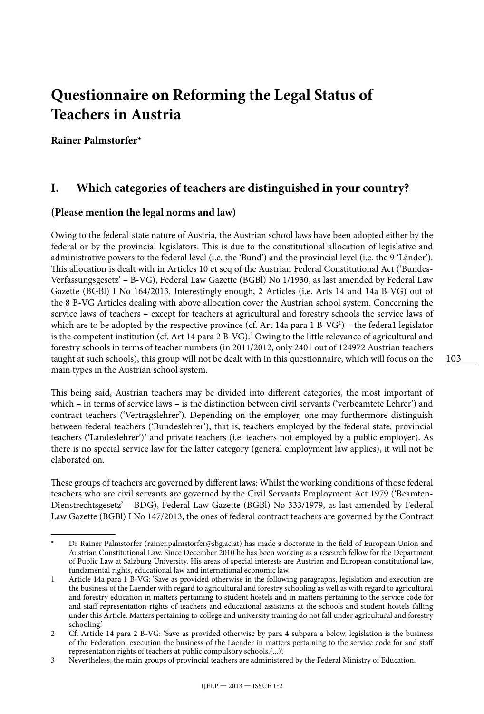# **Questionnaire on Reforming the Legal Status of Teachers in Austria**

**Rainer Palmstorfer\***

#### **I. Which categories of teachers are distinguished in your country?**

#### **(Please mention the legal norms and law)**

Owing to the federal-state nature of Austria, the Austrian school laws have been adopted either by the federal or by the provincial legislators. This is due to the constitutional allocation of legislative and administrative powers to the federal level (i.e. the 'Bund') and the provincial level (i.e. the 9 'Länder'). This allocation is dealt with in Articles 10 et seq of the Austrian Federal Constitutional Act ('Bundes-Verfassungsgesetz' – B-VG), Federal Law Gazette (BGBl) No 1/1930, as last amended by Federal Law Gazette (BGBl) I No 164/2013. Interestingly enough, 2 Articles (i.e. Arts 14 and 14a B-VG) out of the 8 B-VG Articles dealing with above allocation cover the Austrian school system. Concerning the service laws of teachers – except for teachers at agricultural and forestry schools the service laws of which are to be adopted by the respective province (cf. Art 14a para 1 B-VG<sup>1</sup>) – the federa1 legislator is the competent institution (cf. Art 14 para 2 B-VG).<sup>2</sup> Owing to the little relevance of agricultural and forestry schools in terms of teacher numbers (in 2011/2012, only 2401 out of 124972 Austrian teachers taught at such schools), this group will not be dealt with in this questionnaire, which will focus on the main types in the Austrian school system.

This being said, Austrian teachers may be divided into different categories, the most important of which – in terms of service laws – is the distinction between civil servants ('verbeamtete Lehrer') and contract teachers ('Vertragslehrer'). Depending on the employer, one may furthermore distinguish between federal teachers ('Bundeslehrer'), that is, teachers employed by the federal state, provincial teachers ('Landeslehrer')<sup>3</sup> and private teachers (i.e. teachers not employed by a public employer). As there is no special service law for the latter category (general employment law applies), it will not be elaborated on.

These groups of teachers are governed by different laws: Whilst the working conditions of those federal teachers who are civil servants are governed by the Civil Servants Employment Act 1979 ('Beamten-Dienstrechtsgesetz' – BDG), Federal Law Gazette (BGBl) No 333/1979, as last amended by Federal Law Gazette (BGBl) I No 147/2013, the ones of federal contract teachers are governed by the Contract

Dr Rainer Palmstorfer (rainer.palmstorfer@sbg.ac.at) has made a doctorate in the field of European Union and Austrian Constitutional Law. Since December 2010 he has been working as a research fellow for the Department of Public Law at Salzburg University. His areas of special interests are Austrian and European constitutional law, fundamental rights, educational law and international economic law.

<sup>1</sup> Article 14a para 1 B-VG: 'Save as provided otherwise in the following paragraphs, legislation and execution are the business of the Laender with regard to agricultural and forestry schooling as well as with regard to agricultural and forestry education in matters pertaining to student hostels and in matters pertaining to the service code for and staff representation rights of teachers and educational assistants at the schools and student hostels falling under this Article. Matters pertaining to college and university training do not fall under agricultural and forestry schooling.'

<sup>2</sup> Cf. Article 14 para 2 B-VG: 'Save as provided otherwise by para 4 subpara a below, legislation is the business of the Federation, execution the business of the Laender in matters pertaining to the service code for and staff representation rights of teachers at public compulsory schools.(...)'.

<sup>3</sup> Nevertheless, the main groups of provincial teachers are administered by the Federal Ministry of Education.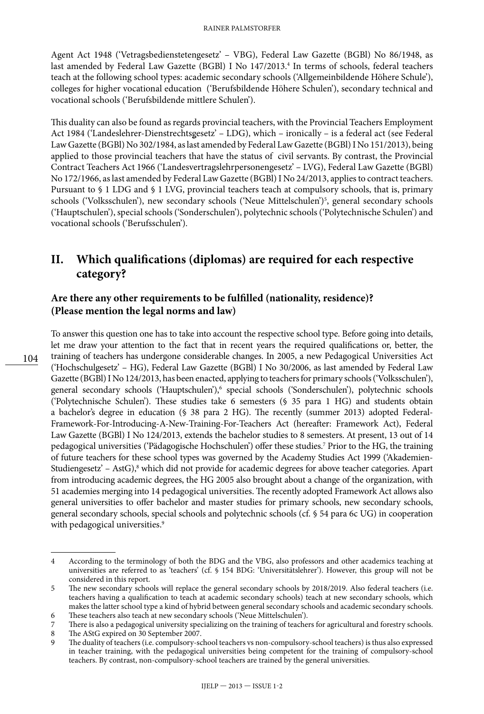Agent Act 1948 ('Vetragsbedienstetengesetz' – VBG), Federal Law Gazette (BGBl) No 86/1948, as last amended by Federal Law Gazette (BGBl) I No 147/2013.<sup>4</sup> In terms of schools, federal teachers teach at the following school types: academic secondary schools ('Allgemeinbildende Höhere Schule'), colleges for higher vocational education ('Berufsbildende Höhere Schulen'), secondary technical and vocational schools ('Berufsbildende mittlere Schulen').

This duality can also be found as regards provincial teachers, with the Provincial Teachers Employment Act 1984 ('Landeslehrer-Dienstrechtsgesetz' – LDG), which – ironically – is a federal act (see Federal Law Gazette (BGBl) No 302/1984, as last amended by Federal Law Gazette (BGBl) I No 151/2013), being applied to those provincial teachers that have the status of civil servants. By contrast, the Provincial Contract Teachers Act 1966 ('Landesvertragslehrpersonengesetz' – LVG), Federal Law Gazette (BGBl) No 172/1966, as last amended by Federal Law Gazette (BGBl) I No 24/2013, applies to contract teachers. Pursuant to § 1 LDG and § 1 LVG, provincial teachers teach at compulsory schools, that is, primary schools ('Volksschulen'), new secondary schools ('Neue Mittelschulen')<sup>5</sup>, general secondary schools ('Hauptschulen'), special schools ('Sonderschulen'), polytechnic schools ('Polytechnische Schulen') and vocational schools ('Berufsschulen').

### **II. Which qualifications (diplomas) are required for each respective category?**

#### **Are there any other requirements to be fulfilled (nationality, residence)? (Please mention the legal norms and law)**

To answer this question one has to take into account the respective school type. Before going into details, let me draw your attention to the fact that in recent years the required qualifications or, better, the training of teachers has undergone considerable changes. In 2005, a new Pedagogical Universities Act ('Hochschulgesetz' – HG), Federal Law Gazette (BGBl) I No 30/2006, as last amended by Federal Law Gazette (BGBl) I No 124/2013, has been enacted, applying to teachers for primary schools ('Volksschulen'), general secondary schools ('Hauptschulen'),<sup>6</sup> special schools ('Sonderschulen'), polytechnic schools ('Polytechnische Schulen'). These studies take 6 semesters (§ 35 para 1 HG) and students obtain a bachelor's degree in education (§ 38 para 2 HG). The recently (summer 2013) adopted Federal-Framework-For-Introducing-A-New-Training-For-Teachers Act (hereafter: Framework Act), Federal Law Gazette (BGBl) I No 124/2013, extends the bachelor studies to 8 semesters. At present, 13 out of 14 pedagogical universities ('Pädagogische Hochschulen') offer these studies.7 Prior to the HG, the training of future teachers for these school types was governed by the Academy Studies Act 1999 ('Akademien-Studiengesetz' – AstG),8 which did not provide for academic degrees for above teacher categories. Apart from introducing academic degrees, the HG 2005 also brought about a change of the organization, with 51 academies merging into 14 pedagogical universities. The recently adopted Framework Act allows also general universities to offer bachelor and master studies for primary schools, new secondary schools, general secondary schools, special schools and polytechnic schools (cf. § 54 para 6c UG) in cooperation with pedagogical universities.<sup>9</sup>

<sup>4</sup> According to the terminology of both the BDG and the VBG, also professors and other academics teaching at universities are referred to as 'teachers' (cf. § 154 BDG: 'Universitätslehrer'). However, this group will not be considered in this report.

<sup>5</sup> The new secondary schools will replace the general secondary schools by 2018/2019. Also federal teachers (i.e. teachers having a qualification to teach at academic secondary schools) teach at new secondary schools, which makes the latter school type a kind of hybrid between general secondary schools and academic secondary schools.

<sup>6</sup> These teachers also teach at new secondary schools ('Neue Mittelschulen').

<sup>7</sup> There is also a pedagogical university specializing on the training of teachers for agricultural and forestry schools.<br><sup>8</sup> The AStG expired on 30 September 2007.

The AStG expired on 30 September 2007.

The duality of teachers (i.e. compulsory-school teachers vs non-compulsory-school teachers) is thus also expressed in teacher training, with the pedagogical universities being competent for the training of compulsory-school teachers. By contrast, non-compulsory-school teachers are trained by the general universities.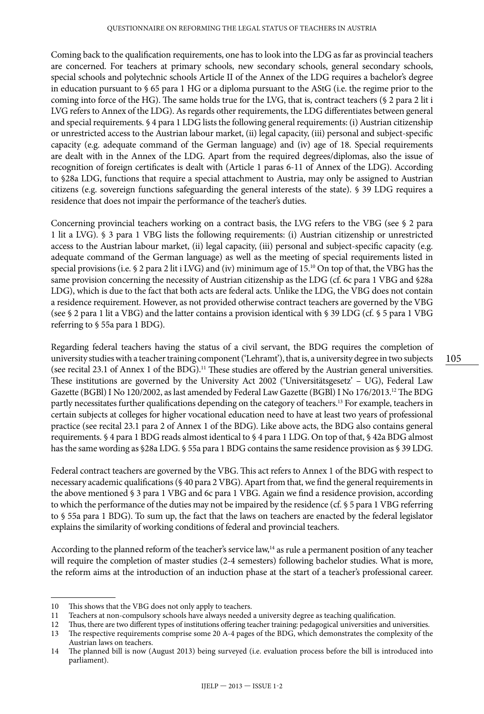Coming back to the qualification requirements, one has to look into the LDG as far as provincial teachers are concerned. For teachers at primary schools, new secondary schools, general secondary schools, special schools and polytechnic schools Article II of the Annex of the LDG requires a bachelor's degree in education pursuant to § 65 para 1 HG or a diploma pursuant to the AStG (i.e. the regime prior to the coming into force of the HG). The same holds true for the LVG, that is, contract teachers (§ 2 para 2 lit i LVG refers to Annex of the LDG). As regards other requirements, the LDG differentiates between general and special requirements. § 4 para 1 LDG lists the following general requirements: (i) Austrian citizenship or unrestricted access to the Austrian labour market, (ii) legal capacity, (iii) personal and subject-specific capacity (e.g. adequate command of the German language) and (iv) age of 18. Special requirements are dealt with in the Annex of the LDG. Apart from the required degrees/diplomas, also the issue of recognition of foreign certificates is dealt with (Article 1 paras 6-11 of Annex of the LDG). According to §28a LDG, functions that require a special attachment to Austria, may only be assigned to Austrian citizens (e.g. sovereign functions safeguarding the general interests of the state). § 39 LDG requires a residence that does not impair the performance of the teacher's duties.

Concerning provincial teachers working on a contract basis, the LVG refers to the VBG (see § 2 para 1 lit a LVG). § 3 para 1 VBG lists the following requirements: (i) Austrian citizenship or unrestricted access to the Austrian labour market, (ii) legal capacity, (iii) personal and subject-specific capacity (e.g. adequate command of the German language) as well as the meeting of special requirements listed in special provisions (i.e. § 2 para 2 lit i LVG) and (iv) minimum age of  $15<sup>10</sup>$  On top of that, the VBG has the same provision concerning the necessity of Austrian citizenship as the LDG (cf. 6c para 1 VBG and §28a LDG), which is due to the fact that both acts are federal acts. Unlike the LDG, the VBG does not contain a residence requirement. However, as not provided otherwise contract teachers are governed by the VBG (see § 2 para 1 lit a VBG) and the latter contains a provision identical with § 39 LDG (cf. § 5 para 1 VBG referring to § 55a para 1 BDG).

Regarding federal teachers having the status of a civil servant, the BDG requires the completion of university studies with a teacher training component ('Lehramt'), that is, a university degree in two subjects (see recital 23.1 of Annex 1 of the BDG).11 These studies are offered by the Austrian general universities. These institutions are governed by the University Act 2002 ('Universitätsgesetz' – UG), Federal Law Gazette (BGBl) I No 120/2002, as last amended by Federal Law Gazette (BGBl) I No 176/2013.12 The BDG partly necessitates further qualifications depending on the category of teachers.13 For example, teachers in certain subjects at colleges for higher vocational education need to have at least two years of professional practice (see recital 23.1 para 2 of Annex 1 of the BDG). Like above acts, the BDG also contains general requirements. § 4 para 1 BDG reads almost identical to § 4 para 1 LDG. On top of that, § 42a BDG almost has the same wording as §28a LDG. § 55a para 1 BDG contains the same residence provision as § 39 LDG.

Federal contract teachers are governed by the VBG. This act refers to Annex 1 of the BDG with respect to necessary academic qualifications (§ 40 para 2 VBG). Apart from that, we find the general requirements in the above mentioned § 3 para 1 VBG and 6c para 1 VBG. Again we find a residence provision, according to which the performance of the duties may not be impaired by the residence (cf. § 5 para 1 VBG referring to § 55a para 1 BDG). To sum up, the fact that the laws on teachers are enacted by the federal legislator explains the similarity of working conditions of federal and provincial teachers.

According to the planned reform of the teacher's service law,<sup>14</sup> as rule a permanent position of any teacher will require the completion of master studies (2-4 semesters) following bachelor studies. What is more, the reform aims at the introduction of an induction phase at the start of a teacher's professional career.

<sup>10</sup> This shows that the VBG does not only apply to teachers.

<sup>11</sup> Teachers at non-compulsory schools have always needed a university degree as teaching qualification.

<sup>12</sup> Thus, there are two different types of institutions offering teacher training: pedagogical universities and universities.<br>13 The respective requirements comprise some 20 A-4 pages of the BDG, which demonstrates the comp

The respective requirements comprise some 20 A-4 pages of the BDG, which demonstrates the complexity of the Austrian laws on teachers.

<sup>14</sup> The planned bill is now (August 2013) being surveyed (i.e. evaluation process before the bill is introduced into parliament).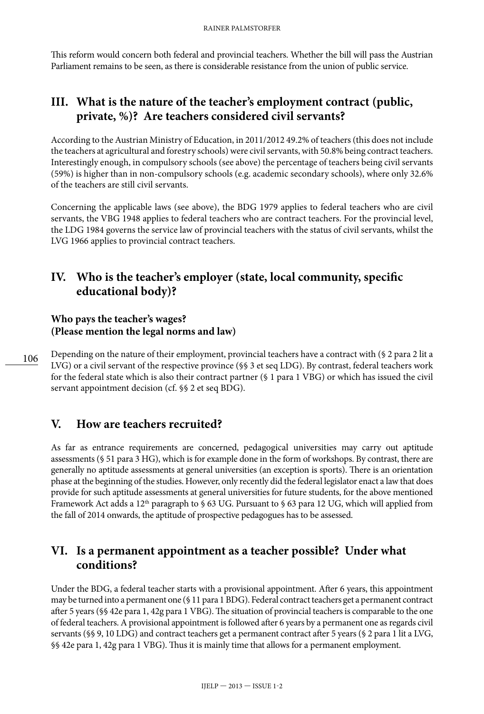This reform would concern both federal and provincial teachers. Whether the bill will pass the Austrian Parliament remains to be seen, as there is considerable resistance from the union of public service.

# **III. What is the nature of the teacher's employment contract (public, private, %)? Are teachers considered civil servants?**

According to the Austrian Ministry of Education, in 2011/2012 49.2% of teachers (this does not include the teachers at agricultural and forestry schools) were civil servants, with 50.8% being contract teachers. Interestingly enough, in compulsory schools (see above) the percentage of teachers being civil servants (59%) is higher than in non-compulsory schools (e.g. academic secondary schools), where only 32.6% of the teachers are still civil servants.

Concerning the applicable laws (see above), the BDG 1979 applies to federal teachers who are civil servants, the VBG 1948 applies to federal teachers who are contract teachers. For the provincial level, the LDG 1984 governs the service law of provincial teachers with the status of civil servants, whilst the LVG 1966 applies to provincial contract teachers.

### **IV. Who is the teacher's employer (state, local community, specific educational body)?**

#### **Who pays the teacher's wages? (Please mention the legal norms and law)**

Depending on the nature of their employment, provincial teachers have a contract with (§ 2 para 2 lit a LVG) or a civil servant of the respective province (§§ 3 et seq LDG). By contrast, federal teachers work for the federal state which is also their contract partner (§ 1 para 1 VBG) or which has issued the civil servant appointment decision (cf. §§ 2 et seq BDG).

# **V. How are teachers recruited?**

As far as entrance requirements are concerned, pedagogical universities may carry out aptitude assessments (§ 51 para 3 HG), which is for example done in the form of workshops. By contrast, there are generally no aptitude assessments at general universities (an exception is sports). There is an orientation phase at the beginning of the studies. However, only recently did the federal legislator enact a law that does provide for such aptitude assessments at general universities for future students, for the above mentioned Framework Act adds a 12<sup>th</sup> paragraph to § 63 UG. Pursuant to § 63 para 12 UG, which will applied from the fall of 2014 onwards, the aptitude of prospective pedagogues has to be assessed.

### **VI. Is a permanent appointment as a teacher possible? Under what conditions?**

Under the BDG, a federal teacher starts with a provisional appointment. After 6 years, this appointment may be turned into a permanent one (§ 11 para 1 BDG). Federal contract teachers get a permanent contract after 5 years (§§ 42e para 1, 42g para 1 VBG). The situation of provincial teachers is comparable to the one of federal teachers. A provisional appointment is followed after 6 years by a permanent one as regards civil servants (§§ 9, 10 LDG) and contract teachers get a permanent contract after 5 years (§ 2 para 1 lit a LVG, §§ 42e para 1, 42g para 1 VBG). Thus it is mainly time that allows for a permanent employment.

106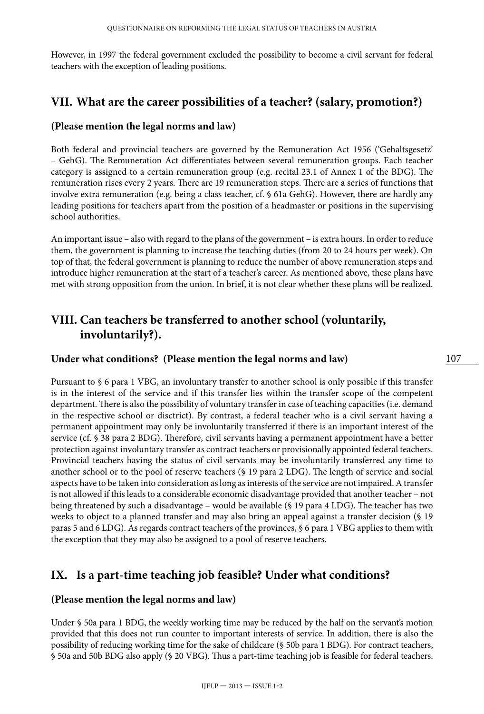However, in 1997 the federal government excluded the possibility to become a civil servant for federal teachers with the exception of leading positions.

#### **VII. What are the career possibilities of a teacher? (salary, promotion?)**

#### **(Please mention the legal norms and law)**

Both federal and provincial teachers are governed by the Remuneration Act 1956 ('Gehaltsgesetz' – GehG). The Remuneration Act differentiates between several remuneration groups. Each teacher category is assigned to a certain remuneration group (e.g. recital 23.1 of Annex 1 of the BDG). The remuneration rises every 2 years. There are 19 remuneration steps. There are a series of functions that involve extra remuneration (e.g. being a class teacher, cf. § 61a GehG). However, there are hardly any leading positions for teachers apart from the position of a headmaster or positions in the supervising school authorities.

An important issue – also with regard to the plans of the government – is extra hours. In order to reduce them, the government is planning to increase the teaching duties (from 20 to 24 hours per week). On top of that, the federal government is planning to reduce the number of above remuneration steps and introduce higher remuneration at the start of a teacher's career. As mentioned above, these plans have met with strong opposition from the union. In brief, it is not clear whether these plans will be realized.

# **VIII. Can teachers be transferred to another school (voluntarily, involuntarily?).**

#### **Under what conditions? (Please mention the legal norms and law)**

Pursuant to § 6 para 1 VBG, an involuntary transfer to another school is only possible if this transfer is in the interest of the service and if this transfer lies within the transfer scope of the competent department. There is also the possibility of voluntary transfer in case of teaching capacities (i.e. demand in the respective school or disctrict). By contrast, a federal teacher who is a civil servant having a permanent appointment may only be involuntarily transferred if there is an important interest of the service (cf. § 38 para 2 BDG). Therefore, civil servants having a permanent appointment have a better protection against involuntary transfer as contract teachers or provisionally appointed federal teachers. Provincial teachers having the status of civil servants may be involuntarily transferred any time to another school or to the pool of reserve teachers (§ 19 para 2 LDG). The length of service and social aspects have to be taken into consideration as long as interests of the service are not impaired. A transfer is not allowed if this leads to a considerable economic disadvantage provided that another teacher – not being threatened by such a disadvantage – would be available (§ 19 para 4 LDG). The teacher has two weeks to object to a planned transfer and may also bring an appeal against a transfer decision (§ 19 paras 5 and 6 LDG). As regards contract teachers of the provinces, § 6 para 1 VBG applies to them with the exception that they may also be assigned to a pool of reserve teachers.

#### **IX. Is a part-time teaching job feasible? Under what conditions?**

#### **(Please mention the legal norms and law)**

Under § 50a para 1 BDG, the weekly working time may be reduced by the half on the servant's motion provided that this does not run counter to important interests of service. In addition, there is also the possibility of reducing working time for the sake of childcare (§ 50b para 1 BDG). For contract teachers, § 50a and 50b BDG also apply (§ 20 VBG). Thus a part-time teaching job is feasible for federal teachers.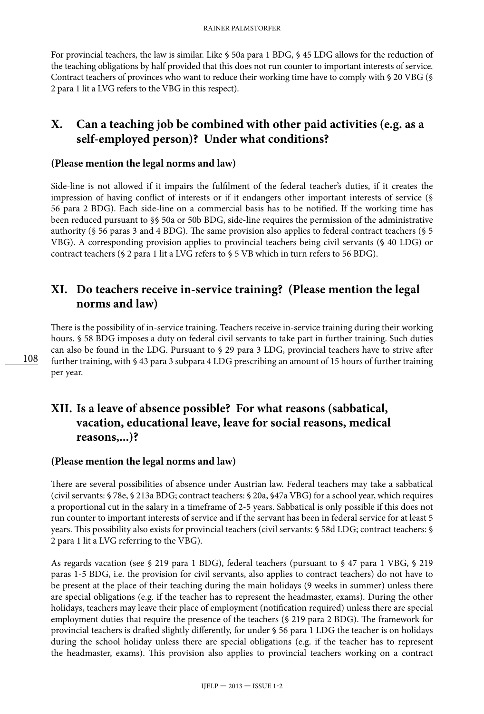For provincial teachers, the law is similar. Like § 50a para 1 BDG, § 45 LDG allows for the reduction of the teaching obligations by half provided that this does not run counter to important interests of service. Contract teachers of provinces who want to reduce their working time have to comply with § 20 VBG (§ 2 para 1 lit a LVG refers to the VBG in this respect).

### **X. Can a teaching job be combined with other paid activities (e.g. as a self-employed person)? Under what conditions?**

#### **(Please mention the legal norms and law)**

Side-line is not allowed if it impairs the fulfilment of the federal teacher's duties, if it creates the impression of having conflict of interests or if it endangers other important interests of service (§ 56 para 2 BDG). Each side-line on a commercial basis has to be notified. If the working time has been reduced pursuant to §§ 50a or 50b BDG, side-line requires the permission of the administrative authority (§ 56 paras 3 and 4 BDG). The same provision also applies to federal contract teachers (§ 5 VBG). A corresponding provision applies to provincial teachers being civil servants (§ 40 LDG) or contract teachers (§ 2 para 1 lit a LVG refers to § 5 VB which in turn refers to 56 BDG).

### **XI. Do teachers receive in-service training? (Please mention the legal norms and law)**

There is the possibility of in-service training. Teachers receive in-service training during their working hours. § 58 BDG imposes a duty on federal civil servants to take part in further training. Such duties can also be found in the LDG. Pursuant to § 29 para 3 LDG, provincial teachers have to strive after further training, with § 43 para 3 subpara 4 LDG prescribing an amount of 15 hours of further training per year.

# **XII. Is a leave of absence possible? For what reasons (sabbatical, vacation, educational leave, leave for social reasons, medical reasons,...)?**

#### **(Please mention the legal norms and law)**

There are several possibilities of absence under Austrian law. Federal teachers may take a sabbatical (civil servants: § 78e, § 213a BDG; contract teachers: § 20a, §47a VBG) for a school year, which requires a proportional cut in the salary in a timeframe of 2-5 years. Sabbatical is only possible if this does not run counter to important interests of service and if the servant has been in federal service for at least 5 years. This possibility also exists for provincial teachers (civil servants: § 58d LDG; contract teachers: § 2 para 1 lit a LVG referring to the VBG).

As regards vacation (see § 219 para 1 BDG), federal teachers (pursuant to § 47 para 1 VBG, § 219 paras 1-5 BDG, i.e. the provision for civil servants, also applies to contract teachers) do not have to be present at the place of their teaching during the main holidays (9 weeks in summer) unless there are special obligations (e.g. if the teacher has to represent the headmaster, exams). During the other holidays, teachers may leave their place of employment (notification required) unless there are special employment duties that require the presence of the teachers (§ 219 para 2 BDG). The framework for provincial teachers is drafted slightly differently, for under § 56 para 1 LDG the teacher is on holidays during the school holiday unless there are special obligations (e.g. if the teacher has to represent the headmaster, exams). This provision also applies to provincial teachers working on a contract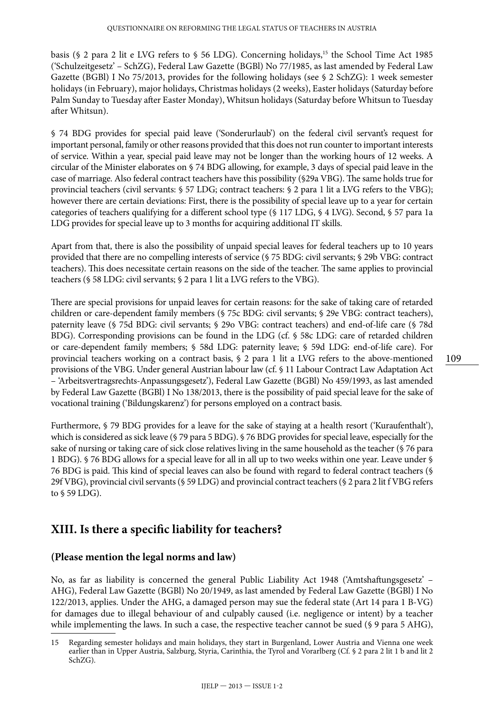basis (§ 2 para 2 lit e LVG refers to § 56 LDG). Concerning holidays,<sup>15</sup> the School Time Act 1985 ('Schulzeitgesetz' – SchZG), Federal Law Gazette (BGBl) No 77/1985, as last amended by Federal Law Gazette (BGBl) I No 75/2013, provides for the following holidays (see § 2 SchZG): 1 week semester holidays (in February), major holidays, Christmas holidays (2 weeks), Easter holidays (Saturday before Palm Sunday to Tuesday after Easter Monday), Whitsun holidays (Saturday before Whitsun to Tuesday after Whitsun).

§ 74 BDG provides for special paid leave ('Sonderurlaub') on the federal civil servant's request for important personal, family or other reasons provided that this does not run counter to important interests of service. Within a year, special paid leave may not be longer than the working hours of 12 weeks. A circular of the Minister elaborates on § 74 BDG allowing, for example, 3 days of special paid leave in the case of marriage. Also federal contract teachers have this possibility (§29a VBG). The same holds true for provincial teachers (civil servants: § 57 LDG; contract teachers: § 2 para 1 lit a LVG refers to the VBG); however there are certain deviations: First, there is the possibility of special leave up to a year for certain categories of teachers qualifying for a different school type (§ 117 LDG, § 4 LVG). Second, § 57 para 1a LDG provides for special leave up to 3 months for acquiring additional IT skills.

Apart from that, there is also the possibility of unpaid special leaves for federal teachers up to 10 years provided that there are no compelling interests of service (§ 75 BDG: civil servants; § 29b VBG: contract teachers). This does necessitate certain reasons on the side of the teacher. The same applies to provincial teachers (§ 58 LDG: civil servants; § 2 para 1 lit a LVG refers to the VBG).

There are special provisions for unpaid leaves for certain reasons: for the sake of taking care of retarded children or care-dependent family members (§ 75c BDG: civil servants; § 29e VBG: contract teachers), paternity leave (§ 75d BDG: civil servants; § 29o VBG: contract teachers) and end-of-life care (§ 78d BDG). Corresponding provisions can be found in the LDG (cf. § 58c LDG: care of retarded children or care-dependent family members; § 58d LDG: paternity leave; § 59d LDG: end-of-life care). For provincial teachers working on a contract basis, § 2 para 1 lit a LVG refers to the above-mentioned provisions of the VBG. Under general Austrian labour law (cf. § 11 Labour Contract Law Adaptation Act – 'Arbeitsvertragsrechts-Anpassungsgesetz'), Federal Law Gazette (BGBl) No 459/1993, as last amended by Federal Law Gazette (BGBl) I No 138/2013, there is the possibility of paid special leave for the sake of vocational training ('Bildungskarenz') for persons employed on a contract basis.

Furthermore, § 79 BDG provides for a leave for the sake of staying at a health resort ('Kuraufenthalt'), which is considered as sick leave (§ 79 para 5 BDG). § 76 BDG provides for special leave, especially for the sake of nursing or taking care of sick close relatives living in the same household as the teacher (§ 76 para 1 BDG). § 76 BDG allows for a special leave for all in all up to two weeks within one year. Leave under § 76 BDG is paid. This kind of special leaves can also be found with regard to federal contract teachers (§ 29f VBG), provincial civil servants (§ 59 LDG) and provincial contract teachers (§ 2 para 2 lit f VBG refers to § 59 LDG).

#### **XIII. Is there a specific liability for teachers?**

#### **(Please mention the legal norms and law)**

No, as far as liability is concerned the general Public Liability Act 1948 ('Amtshaftungsgesetz' – AHG), Federal Law Gazette (BGBl) No 20/1949, as last amended by Federal Law Gazette (BGBl) I No 122/2013, applies. Under the AHG, a damaged person may sue the federal state (Art 14 para 1 B-VG) for damages due to illegal behaviour of and culpably caused (i.e. negligence or intent) by a teacher while implementing the laws. In such a case, the respective teacher cannot be sued (§ 9 para 5 AHG),

<sup>15</sup> Regarding semester holidays and main holidays, they start in Burgenland, Lower Austria and Vienna one week earlier than in Upper Austria, Salzburg, Styria, Carinthia, the Tyrol and Vorarlberg (Cf. § 2 para 2 lit 1 b and lit 2 SchZG).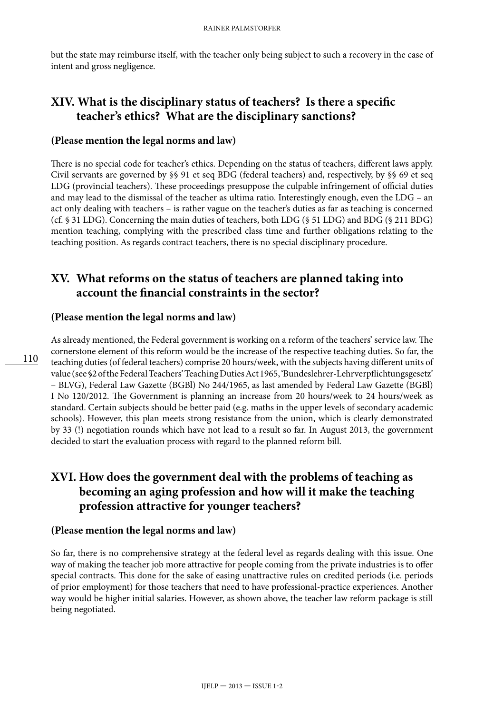but the state may reimburse itself, with the teacher only being subject to such a recovery in the case of intent and gross negligence.

# **XIV. What is the disciplinary status of teachers? Is there a specific teacher's ethics? What are the disciplinary sanctions?**

#### **(Please mention the legal norms and law)**

There is no special code for teacher's ethics. Depending on the status of teachers, different laws apply. Civil servants are governed by §§ 91 et seq BDG (federal teachers) and, respectively, by §§ 69 et seq LDG (provincial teachers). These proceedings presuppose the culpable infringement of official duties and may lead to the dismissal of the teacher as ultima ratio. Interestingly enough, even the LDG – an act only dealing with teachers – is rather vague on the teacher's duties as far as teaching is concerned (cf. § 31 LDG). Concerning the main duties of teachers, both LDG (§ 51 LDG) and BDG (§ 211 BDG) mention teaching, complying with the prescribed class time and further obligations relating to the teaching position. As regards contract teachers, there is no special disciplinary procedure.

### **XV. What reforms on the status of teachers are planned taking into account the financial constraints in the sector?**

#### **(Please mention the legal norms and law)**

As already mentioned, the Federal government is working on a reform of the teachers' service law. The cornerstone element of this reform would be the increase of the respective teaching duties. So far, the teaching duties (of federal teachers) comprise 20 hours/week, with the subjects having different units of value (see §2 of the Federal Teachers' Teaching Duties Act 1965, 'Bundeslehrer-Lehrverpflichtungsgesetz' – BLVG), Federal Law Gazette (BGBl) No 244/1965, as last amended by Federal Law Gazette (BGBl) I No 120/2012. The Government is planning an increase from 20 hours/week to 24 hours/week as standard. Certain subjects should be better paid (e.g. maths in the upper levels of secondary academic schools). However, this plan meets strong resistance from the union, which is clearly demonstrated by 33 (!) negotiation rounds which have not lead to a result so far. In August 2013, the government decided to start the evaluation process with regard to the planned reform bill.

# **XVI. How does the government deal with the problems of teaching as becoming an aging profession and how will it make the teaching profession attractive for younger teachers?**

#### **(Please mention the legal norms and law)**

So far, there is no comprehensive strategy at the federal level as regards dealing with this issue. One way of making the teacher job more attractive for people coming from the private industries is to offer special contracts. This done for the sake of easing unattractive rules on credited periods (i.e. periods of prior employment) for those teachers that need to have professional-practice experiences. Another way would be higher initial salaries. However, as shown above, the teacher law reform package is still being negotiated.